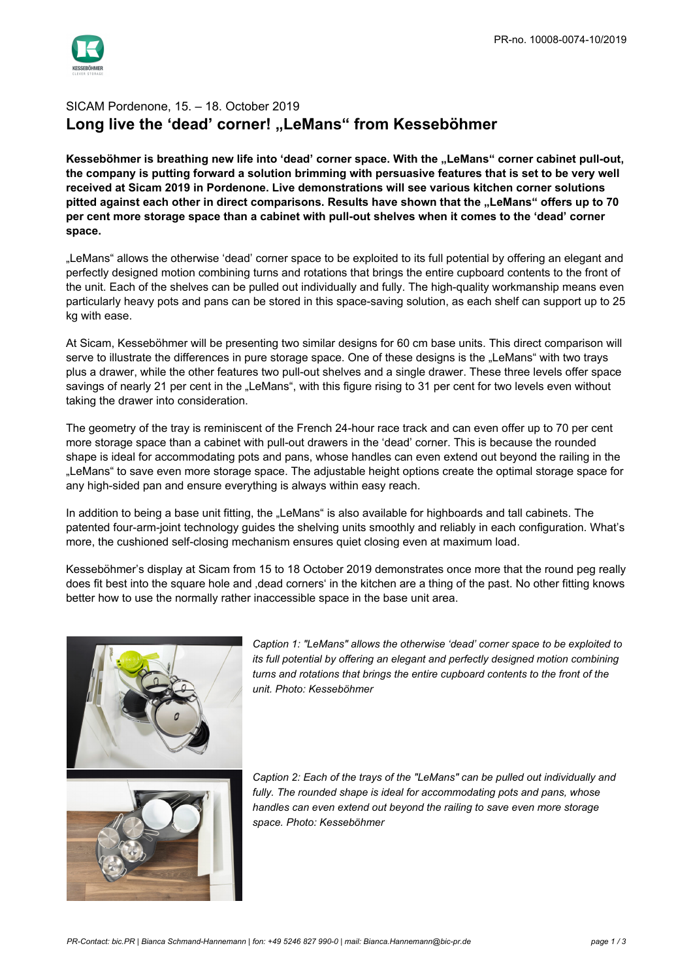

## SICAM Pordenone, 15. – 18. October 2019 Long live the 'dead' corner! "LeMans" from Kesseböhmer

Kesseböhmer is breathing new life into 'dead' corner space. With the "LeMans" corner cabinet pull-out, **the company is putting forward a solution brimming with persuasive features that is set to be very well received at Sicam 2019 in Pordenone. Live demonstrations will see various kitchen corner solutions pitted against each other in direct comparisons. Results have shown that the "LeMans" offers up to 70 per cent more storage space than a cabinet with pull-out shelves when it comes to the 'dead' corner space.**

"LeMans" allows the otherwise 'dead' corner space to be exploited to its full potential by offering an elegant and perfectly designed motion combining turns and rotations that brings the entire cupboard contents to the front of the unit. Each of the shelves can be pulled out individually and fully. The high-quality workmanship means even particularly heavy pots and pans can be stored in this space-saving solution, as each shelf can support up to 25 kg with ease.

At Sicam, Kesseböhmer will be presenting two similar designs for 60 cm base units. This direct comparison will serve to illustrate the differences in pure storage space. One of these designs is the "LeMans" with two trays plus a drawer, while the other features two pull-out shelves and a single drawer. These three levels offer space savings of nearly 21 per cent in the "LeMans", with this figure rising to 31 per cent for two levels even without taking the drawer into consideration.

The geometry of the tray is reminiscent of the French 24-hour race track and can even offer up to 70 per cent more storage space than a cabinet with pull-out drawers in the 'dead' corner. This is because the rounded shape is ideal for accommodating pots and pans, whose handles can even extend out beyond the railing in the "LeMans" to save even more storage space. The adjustable height options create the optimal storage space for any high-sided pan and ensure everything is always within easy reach.

In addition to being a base unit fitting, the "LeMans" is also available for highboards and tall cabinets. The patented four-arm-joint technology guides the shelving units smoothly and reliably in each configuration. What's more, the cushioned self-closing mechanism ensures quiet closing even at maximum load.

Kesseböhmer's display at Sicam from 15 to 18 October 2019 demonstrates once more that the round peg really does fit best into the square hole and 'dead corners' in the kitchen are a thing of the past. No other fitting knows better how to use the normally rather inaccessible space in the base unit area.



*Caption 1: "LeMans" allows the otherwise 'dead' corner space to be exploited to its full potential by offering an elegant and perfectly designed motion combining turns and rotations that brings the entire cupboard contents to the front of the unit. Photo: Kesseböhmer*

*Caption 2: Each of the trays of the "LeMans" can be pulled out individually and fully. The rounded shape is ideal for accommodating pots and pans, whose handles can even extend out beyond the railing to save even more storage space. Photo: Kesseböhmer*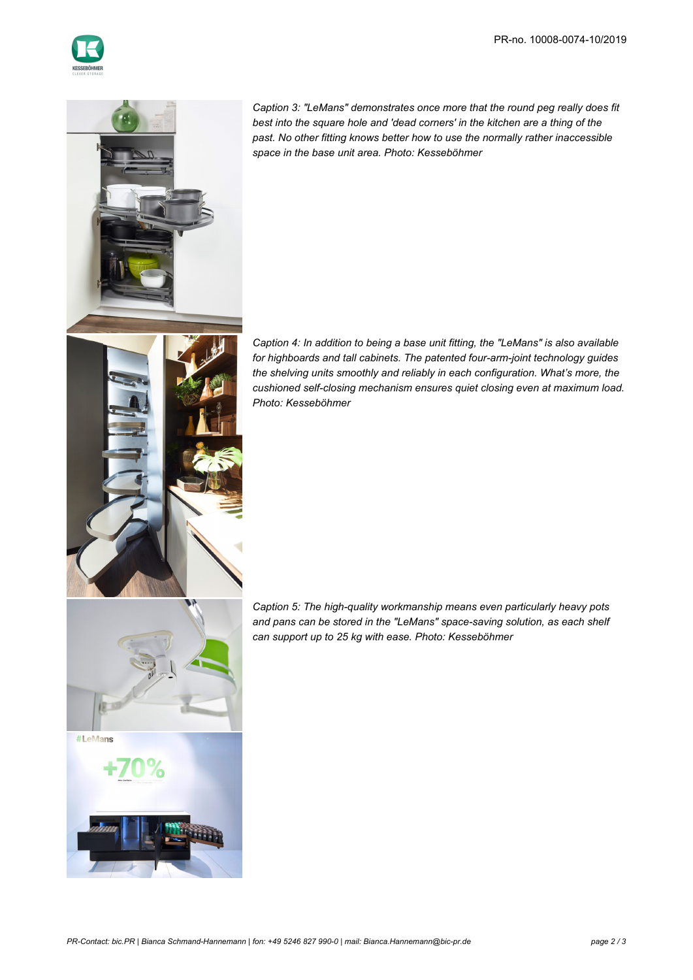



*Caption 3: "LeMans" demonstrates once more that the round peg really does fit best into the square hole and 'dead corners' in the kitchen are a thing of the past. No other fitting knows better how to use the normally rather inaccessible space in the base unit area. Photo: Kesseböhmer*

*Caption 4: In addition to being a base unit fitting, the "LeMans" is also available for highboards and tall cabinets. The patented four-arm-joint technology guides the shelving units smoothly and reliably in each configuration. What's more, the cushioned self-closing mechanism ensures quiet closing even at maximum load. Photo: Kesseböhmer*

*Caption 5: The high-quality workmanship means even particularly heavy pots and pans can be stored in the "LeMans" space-saving solution, as each shelf can support up to 25 kg with ease. Photo: Kesseböhmer*